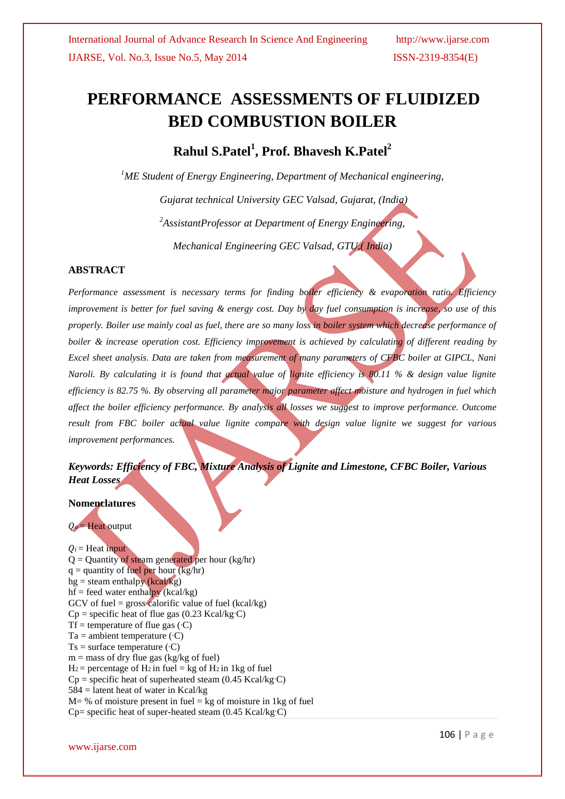# **PERFORMANCE ASSESSMENTS OF FLUIDIZED BED COMBUSTION BOILER**

**Rahul S.Patel<sup>1</sup> , Prof. Bhavesh K.Patel<sup>2</sup>**

*<sup>1</sup>ME Student of Energy Engineering, Department of Mechanical engineering,*

*Gujarat technical University GEC Valsad, Gujarat, (India) <sup>2</sup>AssistantProfessor at Department of Energy Engineering, Mechanical Engineering GEC Valsad, GTU,( India)*

## **ABSTRACT**

*Performance assessment is necessary terms for finding boiler efficiency & evaporation ratio. Efficiency improvement is better for fuel saving & energy cost. Day by day fuel consumption is increase, so use of this properly. Boiler use mainly coal as fuel, there are so many loss in boiler system which decrease performance of boiler & increase operation cost. Efficiency improvement is achieved by calculating of different reading by Excel sheet analysis. Data are taken from measurement of many parameters of CFBC boiler at GIPCL, Nani Naroli. By calculating it is found that actual value of lignite efficiency is 80.11 % & design value lignite efficiency is 82.75 %. By observing all parameter major parameter affect moisture and hydrogen in fuel which affect the boiler efficiency performance. By analysis all losses we suggest to improve performance. Outcome result from FBC boiler actual value lignite compare with design value lignite we suggest for various improvement performances.*

# *Keywords: Efficiency of FBC, Mixture Analysis of Lignite and Limestone, CFBC Boiler, Various Heat Losses*

#### **Nomenclatures**

 $Q_0$  = Heat output

 $Q_i$  = Heat input  $Q =$  Quantity of steam generated per hour (kg/hr)  $q =$  quantity of fuel per hour (kg/hr)  $hg =$  steam enthalpy (kcal/kg)  $hf = feed water enthalpy (kcal/kg)$ GCV of fuel = gross calorific value of fuel (kcal/kg)  $Cp$  = specific heat of flue gas (0.23 Kcal/kg<sup>,</sup>C) Tf = temperature of flue gas  $(C)$  $Ta =$  ambient temperature  $(C)$  $Ts = surface temperature (°C)$  $m =$  mass of dry flue gas (kg/kg of fuel)  $H_2$  = percentage of  $H_2$  in fuel = kg of  $H_2$  in 1kg of fuel  $Cp$  = specific heat of superheated steam (0.45 Kcal/kg $\degree$ C)  $584$  = latent heat of water in Kcal/kg  $M = \%$  of moisture present in fuel = kg of moisture in 1kg of fuel  $Cp=$  specific heat of super-heated steam  $(0.45 \text{ Kcal/kg} \cdot \text{C})$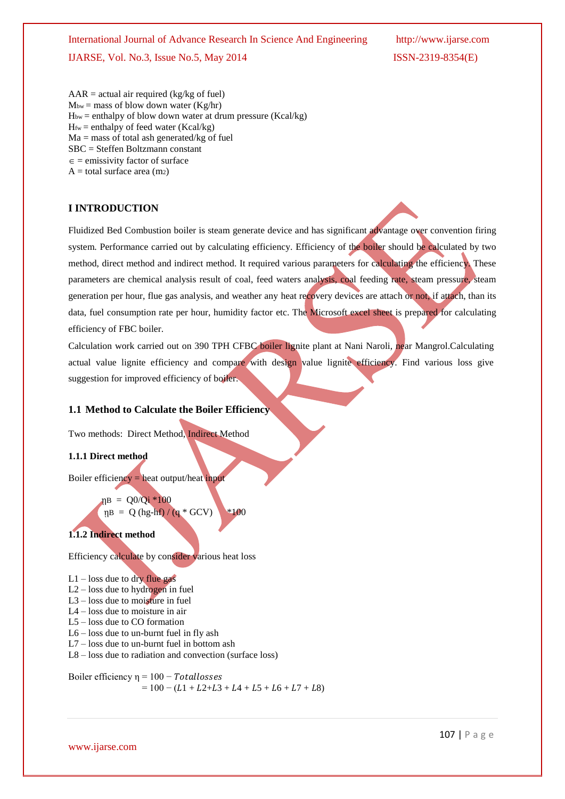$AAR = actual air required (kg/kg of fuel)$  $M_{bw}$  = mass of blow down water (Kg/hr)  $H_{bw}$  = enthalpy of blow down water at drum pressure (Kcal/kg)  $H<sub>fw</sub> = enthalpy of feed water (Kcal/kg)$ Ma = mass of total ash generated/kg of fuel SBC = Steffen Boltzmann constant  $\epsilon$  = emissivity factor of surface  $A =$ total surface area (m2)

## **I INTRODUCTION**

Fluidized Bed Combustion boiler is steam generate device and has significant advantage over convention firing system. Performance carried out by calculating efficiency. Efficiency of the boiler should be calculated by two method, direct method and indirect method. It required various parameters for calculating the efficiency. These parameters are chemical analysis result of coal, feed waters analysis, coal feeding rate, steam pressure, steam generation per hour, flue gas analysis, and weather any heat recovery devices are attach or not, if attach, than its data, fuel consumption rate per hour, humidity factor etc. The Microsoft excel sheet is prepared for calculating efficiency of FBC boiler.

Calculation work carried out on 390 TPH CFBC boiler lignite plant at Nani Naroli, near Mangrol.Calculating actual value lignite efficiency and compare with design value lignite efficiency. Find various loss give suggestion for improved efficiency of boiler.

#### **1.1 Method to Calculate the Boiler Efficiency**

Two methods: Direct Method, Indirect Method

#### **1.1.1 Direct method**

Boiler efficiency = heat output/heat input

 $\eta B = Q0/Qi * 100$  $\eta B = Q(hg-hf)/(q * GCV)$  \*100

# **1.1.2 Indirect method**

Efficiency calculate by consider various heat loss

 $L1 - loss$  due to dry flue gas L2 – loss due to hydrogen in fuel L3 – loss due to moisture in fuel L4 – loss due to moisture in air L5 – loss due to CO formation L6 – loss due to un-burnt fuel in fly ash L7 – loss due to un-burnt fuel in bottom ash L8 – loss due to radiation and convection (surface loss)

Boiler efficiency  $\eta = 100 - Total losses$  $= 100 - (L1 + L2 + L3 + L4 + L5 + L6 + L7 + L8)$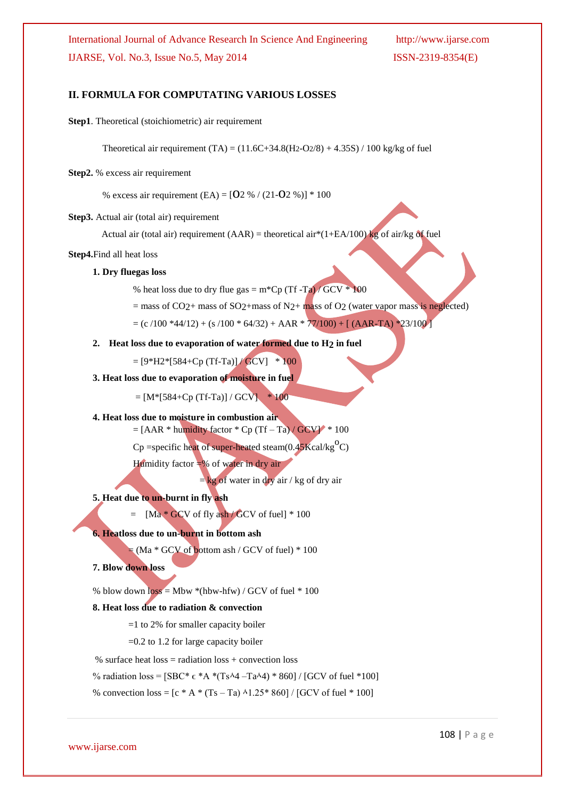## **II. FORMULA FOR COMPUTATING VARIOUS LOSSES**

**Step1**. Theoretical (stoichiometric) air requirement

Theoretical air requirement (TA) =  $(11.6C+34.8(H2-O2/8) + 4.35S)/100$  kg/kg of fuel

#### **Step2.** % excess air requirement

% excess air requirement (EA) =  $[O2 \% / (21-O2 \%)] * 100$ 

#### **Step3.** Actual air (total air) requirement

Actual air (total air) requirement (AAR) = theoretical air\*(1+EA/100) kg of air/kg of fuel

#### **Step4.**Find all heat loss

#### **1. Dry fluegas loss**

% heat loss due to dry flue gas =  $m^*Cp$  (Tf -Ta) / GCV  $*$  100

= mass of CO<sub>2</sub>+ mass of SO<sub>2</sub>+mass of N<sub>2</sub>+ mass of O<sub>2</sub> (water vapor mass is neglected)

 $=$  (c /100 \*44/12) + (s /100 \* 64/32) + AAR \* 77/100) + [ (AAR-TA) \*23/100]

#### **2. Heat loss due to evaporation of water formed due to H2 in fuel**

 $= [9*H2*[584+Cp(Tf-Ta)]/GCV] * 100$ 

#### **3. Heat loss due to evaporation of moisture in fuel**

 $=[M*[584+Cp (Tf-Ta)] / GCV]$  \* 100

#### **4. Heat loss due to moisture in combustion air**

 $=$  [AAR \* humidity factor \* Cp (Tf – Ta) / GCV] \* 100

 $Cp$  =specific heat of super-heated steam $(0.45Kcal/kg<sup>o</sup>C)$ 

Humidity factor  $\neq$ % of water in dry air

 $=$  kg of water in dry air / kg of dry air

#### **5. Heat due to un-burnt in fly ash**

 $=$  [Ma  $*$  GCV of fly ash / GCV of fuel]  $*$  100

## **6. Heatloss due to un-burnt in bottom ash**

 $=$  (Ma  $*$  GCV of bottom ash / GCV of fuel)  $*$  100

## **7. Blow down loss**

% blow down  $loss = Mbw * (hbw-hfw) / GCV$  of fuel  $* 100$ 

#### **8. Heat loss due to radiation & convection**

=1 to 2% for smaller capacity boiler

=0.2 to 1.2 for large capacity boiler

% surface heat  $loss = radiation loss + convection loss$ 

% radiation loss =  $[SBC* \epsilon *A * (Ts \cdot 4 - Ta \cdot 4) * 860] / [GCV]$  of fuel \*100]

% convection loss =  $[c * A * (Ts - Ta) \land 1.25 * 860] / [GCV]$  of fuel  $* 100$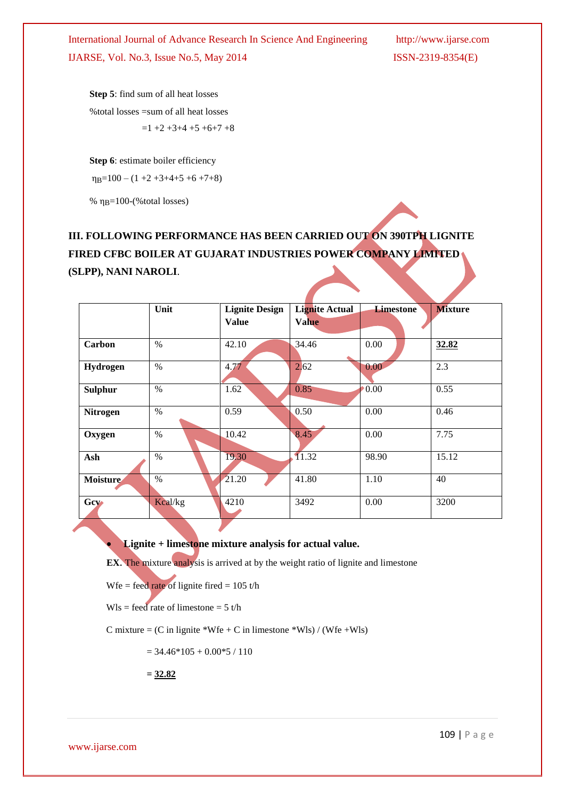**Step 5**: find sum of all heat losses %total losses =sum of all heat losses  $=1 +2 +3+4 +5 +6+7 +8$ 

**Step 6**: estimate boiler efficiency

 $\eta_B = 100 - (1 + 2 + 3 + 4 + 5 + 6 + 7 + 8)$ 

%  $\eta_B = 100$ -(%total losses)

# **III. FOLLOWING PERFORMANCE HAS BEEN CARRIED OUT ON 390TPH LIGNITE FIRED CFBC BOILER AT GUJARAT INDUSTRIES POWER COMPANY LIMITED (SLPP), NANI NAROLI**.

|                 | Unit          | <b>Lignite Design</b> | <b>Lignite Actual</b> | <b>Limestone</b> | <b>Mixture</b> |
|-----------------|---------------|-----------------------|-----------------------|------------------|----------------|
|                 |               | <b>Value</b>          | <b>Value</b>          |                  |                |
|                 |               |                       |                       |                  |                |
| Carbon          | $\frac{0}{0}$ | 42.10                 | 34.46                 | 0.00             | 32.82          |
| Hydrogen        | %             | 4.77                  | 2.62                  | 0.00             | 2.3            |
| <b>Sulphur</b>  | $\frac{0}{0}$ | 1.62                  | 0.85                  | $0.00^{\circ}$   | 0.55           |
| <b>Nitrogen</b> | $\frac{0}{0}$ | 0.59                  | 0.50                  | 0.00             | 0.46           |
| Oxygen          | $\frac{0}{0}$ | 10.42                 | 8.45                  | 0.00             | 7.75           |
| Ash             | %             | 19.30                 | 11.32                 | 98.90            | 15.12          |
| <b>Moisture</b> | $\frac{0}{0}$ | 21.20                 | 41.80                 | 1.10             | 40             |
| Gey-            | Kcal/kg       | 4210                  | 3492                  | 0.00             | 3200           |

**Lignite + limestone mixture analysis for actual value.**

**EX**. The mixture analysis is arrived at by the weight ratio of lignite and limestone

Wfe = feed rate of lignite fired =  $105 t/h$ 

Wls = feed rate of limestone =  $5 t/h$ 

C mixture =  $(C \text{ in } \text{liginite} * \text{Wfe} + C \text{ in } \text{limestone} * \text{Wls}) / (\text{Wfe} + \text{Wls})$ 

 $= 34.46*105 + 0.00*5 / 110$ 

 **= 32.82**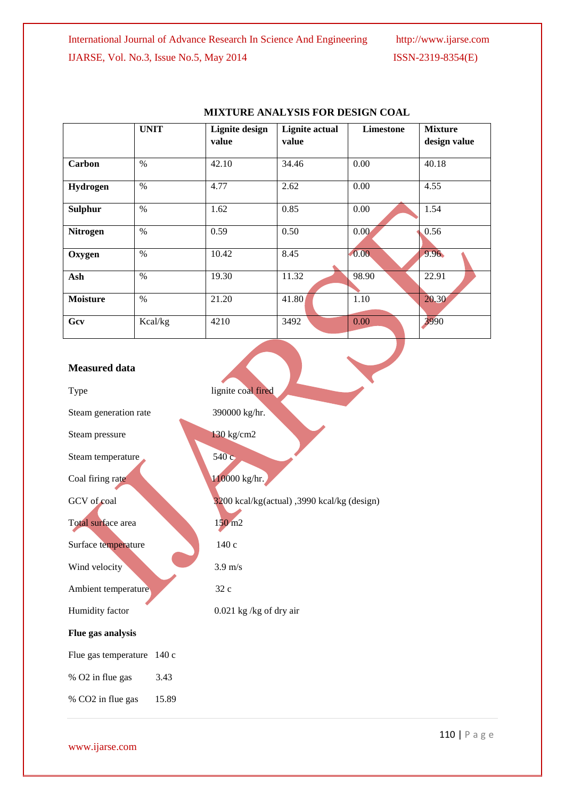|                 | <b>UNIT</b> | <b>Lignite design</b> | <b>Lignite</b> actual | <b>Limestone</b> | <b>Mixture</b> |
|-----------------|-------------|-----------------------|-----------------------|------------------|----------------|
|                 |             | value                 | value                 |                  | design value   |
| Carbon          | $\%$        | 42.10                 | 34.46                 | 0.00             | 40.18          |
| <b>Hydrogen</b> | $\%$        | 4.77                  | 2.62                  | 0.00             | 4.55           |
| <b>Sulphur</b>  | $\%$        | 1.62                  | 0.85                  | 0.00             | 1.54           |
| <b>Nitrogen</b> | $\%$        | 0.59                  | 0.50                  | 0.00             | 0.56           |
| Oxygen          | $\%$        | 10.42                 | 8.45                  | 0.00             | 9.96           |
| Ash             | $\%$        | 19.30                 | 11.32                 | 98.90            | 22.91          |
| <b>Moisture</b> | $\%$        | 21.20                 | 41.80                 | 1.10             | 20.30          |
| Gcv             | Kcal/kg     | 4210                  | 3492                  | 0.00             | 3990           |

# **MIXTURE ANALYSIS FOR DESIGN COAL**

| <b>Measured data</b>       |       |                                             |
|----------------------------|-------|---------------------------------------------|
| Type                       |       | lignite coal fired                          |
| Steam generation rate      |       | 390000 kg/hr.                               |
| Steam pressure             |       | 130 kg/cm2                                  |
| Steam temperature          |       | 540c                                        |
| Coal firing rate           |       | 110000 kg/hr.                               |
| GCV of coal                |       | 3200 kcal/kg(actual), 3990 kcal/kg (design) |
| Total surface area         |       | $150 \text{ m}$                             |
| Surface temperature        |       | 140 с                                       |
| Wind velocity              |       | $3.9 \text{ m/s}$                           |
| Ambient temperature        |       | 32 c                                        |
| Humidity factor            |       | $0.021$ kg /kg of dry air                   |
| Flue gas analysis          |       |                                             |
| Flue gas temperature 140 c |       |                                             |
| % O2 in flue gas           | 3.43  |                                             |
| % CO2 in flue gas          | 15.89 |                                             |

www.ijarse.com

110 | P a g e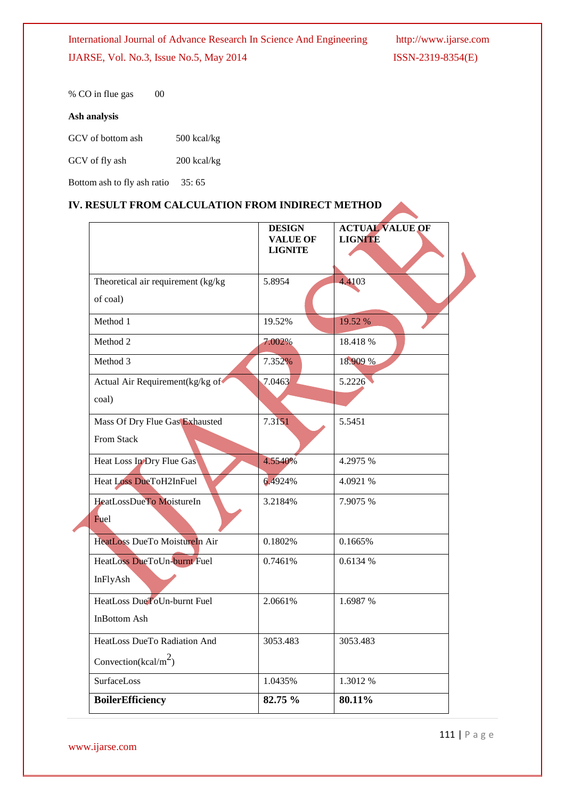% CO in flue gas 00

# **Ash analysis**

GCV of fly ash 200 kcal/kg

Bottom ash to fly ash ratio 35: 65

# **IV. RESULT FROM CALCULATION FROM INDIRECT METHOD**

|                                     | <b>DESIGN</b><br><b>VALUE OF</b><br><b>LIGNITE</b> | <b>ACTUAL VALUE OF</b><br><b>LIGNITE</b> |
|-------------------------------------|----------------------------------------------------|------------------------------------------|
| Theoretical air requirement (kg/kg) | 5.8954                                             | 4.4103                                   |
| of coal)                            |                                                    |                                          |
| Method 1                            | 19.52%                                             | 19.52 %                                  |
| Method 2                            | 7.002%                                             | 18.418 %                                 |
| Method 3                            | 7.352%                                             | 18.909 %                                 |
| Actual Air Requirement(kg/kg of     | 7.0463                                             | 5.2226                                   |
| coal)                               |                                                    |                                          |
| Mass Of Dry Flue Gas Exhausted      | 7.3151                                             | 5.5451                                   |
| From Stack                          |                                                    |                                          |
| Heat Loss In Dry Flue Gas           | 4.5540%                                            | 4.2975 %                                 |
| <b>Heat Loss DueToH2InFuel</b>      | 6.4924%                                            | 4.0921 %                                 |
| HeatLossDueTo MoistureIn            | 3.2184%                                            | 7.9075 %                                 |
| Fuel                                |                                                    |                                          |
| HeatLoss DueTo MoistureIn Air       | 0.1802%                                            | 0.1665%                                  |
| HeatLoss DueToUn-burnt Fuel         | 0.7461%                                            | 0.6134 %                                 |
| InFlyAsh                            |                                                    |                                          |
| HeatLoss DueToUn-burnt Fuel         | 2.0661%                                            | 1.6987 %                                 |
| <b>InBottom Ash</b>                 |                                                    |                                          |
| HeatLoss DueTo Radiation And        | 3053.483                                           | 3053.483                                 |
| Convection(kcal/m <sup>2</sup> )    |                                                    |                                          |
| <b>SurfaceLoss</b>                  | 1.0435%                                            | 1.3012 %                                 |
| <b>BoilerEfficiency</b>             | 82.75 %                                            | 80.11%                                   |

www.ijarse.com

111 | P a g e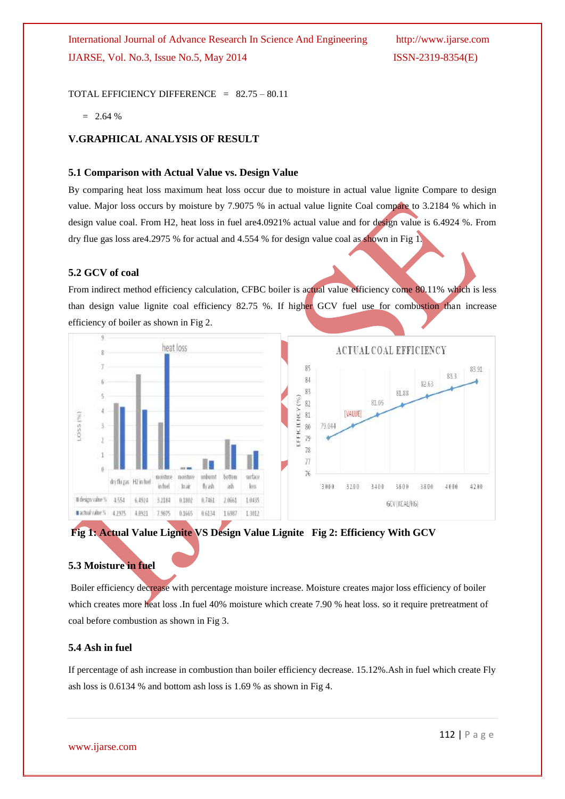TOTAL EFFICIENCY DIFFERENCE =  $82.75 - 80.11$ 

 $= 2.64 %$ 

## **V.GRAPHICAL ANALYSIS OF RESULT**

#### **5.1 Comparison with Actual Value vs. Design Value**

By comparing heat loss maximum heat loss occur due to moisture in actual value lignite Compare to design value. Major loss occurs by moisture by 7.9075 % in actual value lignite Coal compare to 3.2184 % which in design value coal. From H2, heat loss in fuel are4.0921% actual value and for design value is 6.4924 %. From dry flue gas loss are4.2975 % for actual and 4.554 % for design value coal as shown in Fig 1.

#### **5.2 GCV of coal**

From indirect method efficiency calculation, CFBC boiler is actual value efficiency come 80.11% which is less than design value lignite coal efficiency 82.75 %. If higher GCV fuel use for combustion than increase efficiency of boiler as shown in Fig 2.





#### **5.3 Moisture in fuel**

Boiler efficiency decrease with percentage moisture increase. Moisture creates major loss efficiency of boiler which creates more heat loss .In fuel 40% moisture which create 7.90 % heat loss. so it require pretreatment of coal before combustion as shown in Fig 3.

#### **5.4 Ash in fuel**

If percentage of ash increase in combustion than boiler efficiency decrease. 15.12%.Ash in fuel which create Fly ash loss is 0.6134 % and bottom ash loss is 1.69 % as shown in Fig 4.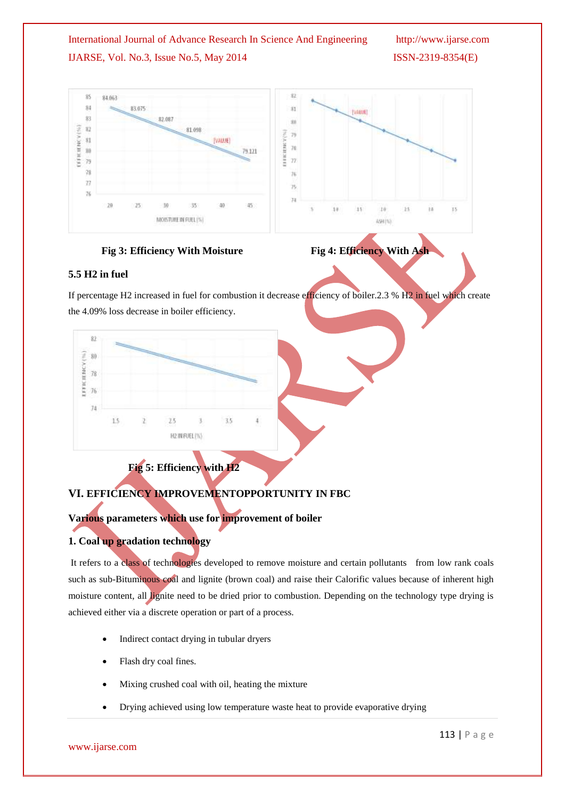





## **5.5 H2 in fuel**

If percentage H2 increased in fuel for combustion it decrease efficiency of boiler.2.3 % H2 in fuel which create the 4.09% loss decrease in boiler efficiency.



# **VI. EFFICIENCY IMPROVEMENTOPPORTUNITY IN FBC**

# **Various parameters which use for improvement of boiler**

# **1. Coal up gradation technology**

It refers to a class of technologies developed to remove moisture and certain pollutants from low rank coals such as sub-Bituminous coal and lignite (brown coal) and raise their Calorific values because of inherent high moisture content, all lignite need to be dried prior to combustion. Depending on the technology type drying is achieved either via a discrete operation or part of a process.

- Indirect contact drying in tubular dryers
- Flash dry coal fines.
- Mixing crushed coal with oil, heating the mixture
- Drying achieved using low temperature waste heat to provide evaporative drying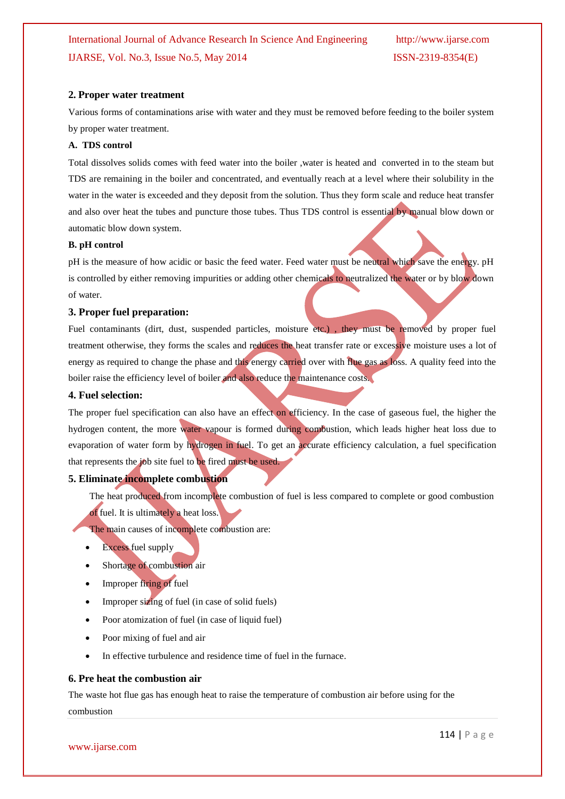#### **2. Proper water treatment**

Various forms of contaminations arise with water and they must be removed before feeding to the boiler system by proper water treatment.

#### **A. TDS control**

Total dissolves solids comes with feed water into the boiler ,water is heated and converted in to the steam but TDS are remaining in the boiler and concentrated, and eventually reach at a level where their solubility in the water in the water is exceeded and they deposit from the solution. Thus they form scale and reduce heat transfer and also over heat the tubes and puncture those tubes. Thus TDS control is essential by manual blow down or automatic blow down system.

#### **B. pH control**

pH is the measure of how acidic or basic the feed water. Feed water must be neutral which save the energy. pH is controlled by either removing impurities or adding other chemicals to neutralized the water or by blow down of water.

#### **3. Proper fuel preparation:**

Fuel contaminants (dirt, dust, suspended particles, moisture etc.), they must be removed by proper fuel treatment otherwise, they forms the scales and reduces the heat transfer rate or excessive moisture uses a lot of energy as required to change the phase and this energy carried over with flue gas as loss. A quality feed into the boiler raise the efficiency level of boiler and also reduce the maintenance costs.

#### **4. Fuel selection:**

The proper fuel specification can also have an effect on efficiency. In the case of gaseous fuel, the higher the hydrogen content, the more water vapour is formed during combustion, which leads higher heat loss due to evaporation of water form by hydrogen in fuel. To get an accurate efficiency calculation, a fuel specification that represents the job site fuel to be fired must be used.

#### **5. Eliminate incomplete combustion**

The heat produced from incomplete combustion of fuel is less compared to complete or good combustion of fuel. It is ultimately a heat loss.

The main causes of incomplete combustion are:

- Excess fuel supply
- Shortage of combustion air
- Improper firing of fuel
- Improper sizing of fuel (in case of solid fuels)
- Poor atomization of fuel (in case of liquid fuel)
- Poor mixing of fuel and air
- In effective turbulence and residence time of fuel in the furnace.

#### **6. Pre heat the combustion air**

The waste hot flue gas has enough heat to raise the temperature of combustion air before using for the combustion